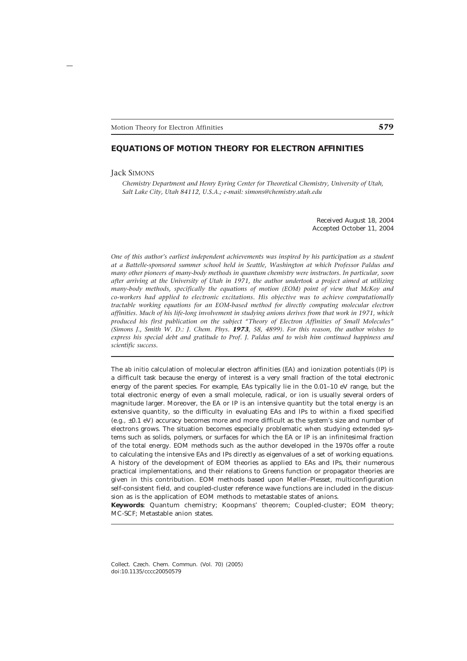# **EQUATIONS OF MOTION THEORY FOR ELECTRON AFFINITIES**

Jack SIMONS

*Chemistry Department and Henry Eyring Center for Theoretical Chemistry, University of Utah, Salt Lake City, Utah 84112, U.S.A.; e-mail: simons@chemistry.utah.edu*

> Received August 18, 2004 Accepted October 11, 2004

*One of this author's earliest independent achievements was inspired by his participation as a student at a Battelle-sponsored summer school held in Seattle, Washington at which Professor Paldus and many other pioneers of many-body methods in quantum chemistry were instructors. In particular, soon after arriving at the University of Utah in 1971, the author undertook a project aimed at utilizing many-body methods, specifically the equations of motion (EOM) point of view that McKoy and co-workers had applied to electronic excitations. His objective was to achieve computationally tractable working equations for an EOM-based method for directly computing molecular electron affinities. Much of his life-long involvement in studying anions derives from that work in 1971, which produced his first publication on the subject "Theory of Electron Affinities of Small Molecules" (Simons J., Smith W. D.: J. Chem. Phys. 1973, 58, 4899). For this reason, the author wishes to express his special debt and gratitude to Prof. J. Paldus and to wish him continued happiness and scientific success.*

The *ab initio* calculation of molecular electron affinities (EA) and ionization potentials (IP) is a difficult task because the energy of interest is a very small fraction of the total electronic energy of the parent species. For example, EAs typically lie in the 0.01–10 eV range, but the total electronic energy of even a small molecule, radical, or ion is usually several orders of magnitude larger. Moreover, the EA or IP is an intensive quantity but the total energy is an extensive quantity, so the difficulty in evaluating EAs and IPs to within a fixed specified (e.g., ±0.1 eV) accuracy becomes more and more difficult as the system's size and number of electrons grows. The situation becomes especially problematic when studying extended systems such as solids, polymers, or surfaces for which the EA or IP is an infinitesimal fraction of the total energy. EOM methods such as the author developed in the 1970s offer a route to calculating the intensive EAs and IPs directly as eigenvalues of a set of working equations. A history of the development of EOM theories as applied to EAs and IPs, their numerous practical implementations, and their relations to Greens function or propagator theories are given in this contribution. EOM methods based upon Møller–Plesset, multiconfiguration self-consistent field, and coupled-cluster reference wave functions are included in the discussion as is the application of EOM methods to metastable states of anions.

**Keywords**: Quantum chemistry; Koopmans' theorem; Coupled-cluster; EOM theory; MC-SCF; Metastable anion states.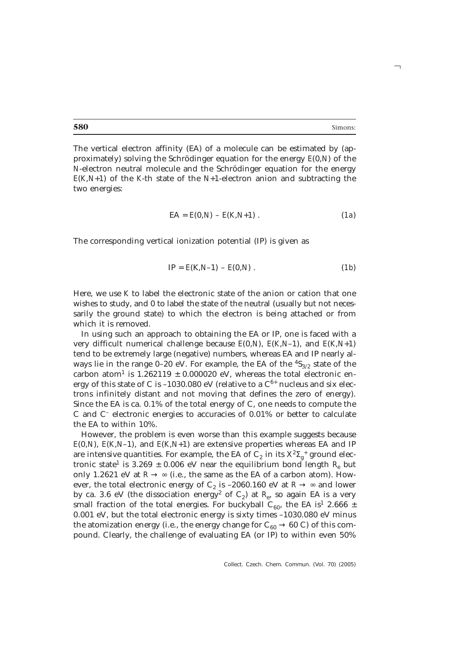The vertical electron affinity (EA) of a molecule can be estimated by (approximately) solving the Schrödinger equation for the energy *E*(0,*N*) of the *N*-electron neutral molecule and the Schrödinger equation for the energy  $E(K,N+1)$  of the *K*-th state of the *N*+1-electron anion and subtracting the two energies:

$$
EA = E(0,N) - E(K,N+1) . \t(1a)
$$

The corresponding vertical ionization potential (IP) is given as

$$
IP = E(K, N-1) - E(0, N) . \t\t(1b)
$$

Here, we use *K* to label the electronic state of the anion or cation that one wishes to study, and 0 to label the state of the neutral (usually but not necessarily the ground state) to which the electron is being attached or from which it is removed.

In using such an approach to obtaining the EA or IP, one is faced with a very difficult numerical challenge because *E*(0,*N*), *E*(*K*,*N*–1), and *E*(*K*,*N*+1) tend to be extremely large (negative) numbers, whereas EA and IP nearly always lie in the range 0–20 eV. For example, the EA of the  $^{4}S_{3/2}$  state of the carbon atom<sup>1</sup> is 1.262119  $\pm$  0.000020 eV, whereas the total electronic energy of this state of C is -1030.080 eV (relative to a  $C^{6+}$  nucleus and six electrons infinitely distant and not moving that defines the zero of energy). Since the EA is ca. 0.1% of the total energy of C, one needs to compute the C and C– electronic energies to accuracies of 0.01% or better to calculate the EA to within 10%.

However, the problem is even worse than this example suggests because  $E(0,N)$ ,  $E(K,N-1)$ , and  $E(K,N+1)$  are extensive properties whereas EA and IP are intensive quantities. For example, the EA of  $C_2$  in its  $X^2\Sigma_{\mathrm{g}}^+$  ground electronic state<sup>1</sup> is 3.269  $\pm$  0.006 eV near the equilibrium bond length  $R_e$  but only 1.2621 eV at  $R \rightarrow \infty$  (i.e., the same as the EA of a carbon atom). However, the total electronic energy of C<sub>2</sub> is –2060.160 eV at  $R \rightarrow \infty$  and lower by ca. 3.6 eV (the dissociation energy<sup>2</sup> of  $C_2$ ) at  $R_e$ , so again EA is a very small fraction of the total energies. For buckyball  $C_{60}$ , the EA is<sup>1</sup> 2.666 ± 0.001 eV, but the total electronic energy is sixty times –1030.080 eV minus the atomization energy (i.e., the energy change for  $C_{60} \rightarrow 60$  C) of this compound. Clearly, the challenge of evaluating EA (or IP) to within even 50%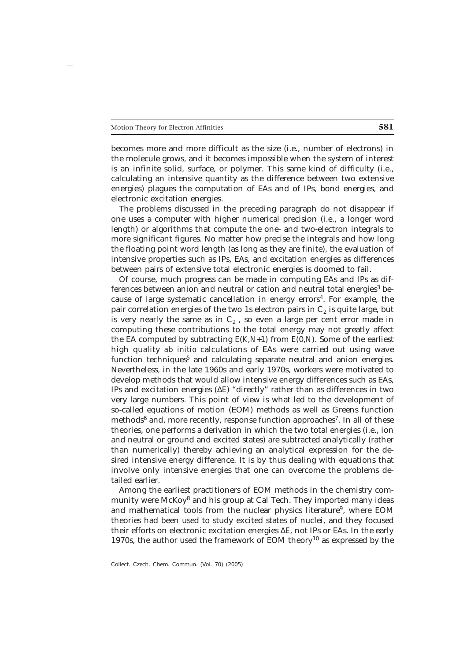becomes more and more difficult as the size (i.e., number of electrons) in the molecule grows, and it becomes impossible when the system of interest is an infinite solid, surface, or polymer. This same kind of difficulty (i.e., calculating an intensive quantity as the difference between two extensive energies) plagues the computation of EAs and of IPs, bond energies, and electronic excitation energies.

The problems discussed in the preceding paragraph do not disappear if one uses a computer with higher numerical precision (i.e., a longer word length) or algorithms that compute the one- and two-electron integrals to more significant figures. No matter how precise the integrals and how long the floating point word length (as long as they are finite), the evaluation of intensive properties such as IPs, EAs, and excitation energies as differences between pairs of extensive total electronic energies is doomed to fail.

Of course, much progress can be made in computing EAs and IPs as differences between anion and neutral or cation and neutral total energies<sup>3</sup> because of large systematic cancellation in energy errors<sup>4</sup>. For example, the pair correlation energies of the two 1s electron pairs in  $C_2$  is quite large, but is very nearly the same as in  $C_2^-$ , so even a large per cent error made in computing these contributions to the total energy may not greatly affect the EA computed by subtracting  $E(K, N+1)$  from  $E(0, N)$ . Some of the earliest high quality *ab initio* calculations of EAs were carried out using wave function techniques<sup>5</sup> and calculating separate neutral and anion energies. Nevertheless, in the late 1960s and early 1970s, workers were motivated to develop methods that would allow intensive energy differences such as EAs, IPs and excitation energies (∆*E*) "directly" rather than as differences in two very large numbers. This point of view is what led to the development of so-called equations of motion (EOM) methods as well as Greens function methods $6$  and, more recently, response function approaches<sup>7</sup>. In all of these theories, one performs a derivation in which the two total energies (i.e., ion and neutral or ground and excited states) are subtracted analytically (rather than numerically) thereby achieving an analytical expression for the desired intensive energy difference. It is by thus dealing with equations that involve only intensive energies that one can overcome the problems detailed earlier.

Among the earliest practitioners of EOM methods in the chemistry community were McKoy<sup>8</sup> and his group at Cal Tech. They imported many ideas and mathematical tools from the nuclear physics literature9, where EOM theories had been used to study excited states of nuclei, and they focused their efforts on electronic excitation energies ∆*E*, not IPs or EAs. In the early 1970s, the author used the framework of EOM theory<sup>10</sup> as expressed by the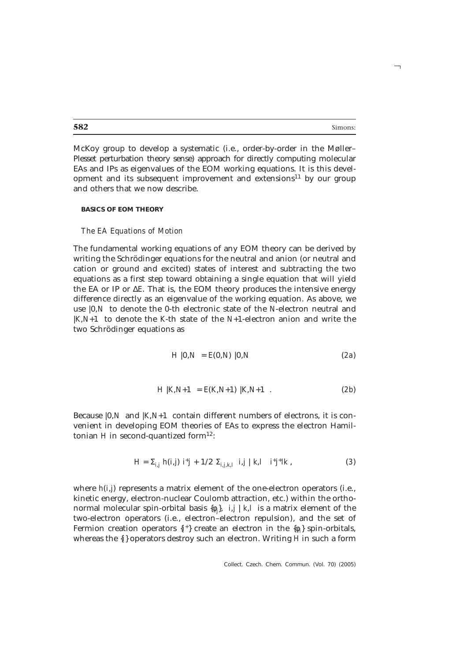McKoy group to develop a systematic (i.e., order-by-order in the Møller– Plesset perturbation theory sense) approach for directly computing molecular EAs and IPs as eigenvalues of the EOM working equations. It is this development and its subsequent improvement and extensions<sup>11</sup> by our group and others that we now describe.

#### **BASICS OF EOM THEORY**

#### *The EA Equations of Motion*

The fundamental working equations of any EOM theory can be derived by writing the Schrödinger equations for the neutral and anion (or neutral and cation or ground and excited) states of interest and subtracting the two equations as a first step toward obtaining a single equation that will yield the EA or IP or ∆*E*. That is, the EOM theory produces the intensive energy difference directly as an eigenvalue of the working equation. As above, we use |0,*N*〉 to denote the 0-th electronic state of the *N*-electron neutral and |*K*,*N*+1〉 to denote the *K*-th state of the *N*+1-electron anion and write the two Schrödinger equations as

$$
H |0,N\rangle = E(0,N) |0,N\rangle \qquad (2a)
$$

$$
H | K, N+1 \rangle = E(K, N+1) | K, N+1 \rangle. \qquad (2b)
$$

Because  $|0,N\rangle$  and  $|K,N+1\rangle$  contain different numbers of electrons, it is convenient in developing EOM theories of EAs to express the electron Hamiltonian  $H$  in second-quantized form<sup>12</sup>:

$$
H = \sum_{i,j} h(i,j) \ \ i^+ j + 1/2 \ \sum_{i,j,k,l} \langle i,j \mid k,l \rangle \ \ i^+ j^+ l k \,, \tag{3}
$$

where *h*(*i*,*j*) represents a matrix element of the one-electron operators (i.e., kinetic energy, electron-nuclear Coulomb attraction, etc.) within the orthonormal molecular spin-orbital basis {φ*<sup>j</sup>* }, 〈*i*,*j* | *k*,*l*〉 is a matrix element of the two-electron operators (i.e., electron–electron repulsion), and the set of Fermion creation operators {*i* +} create an electron in the {φ*<sup>i</sup>* } spin-orbitals, whereas the {*i*} operators destroy such an electron. Writing *H* in such a form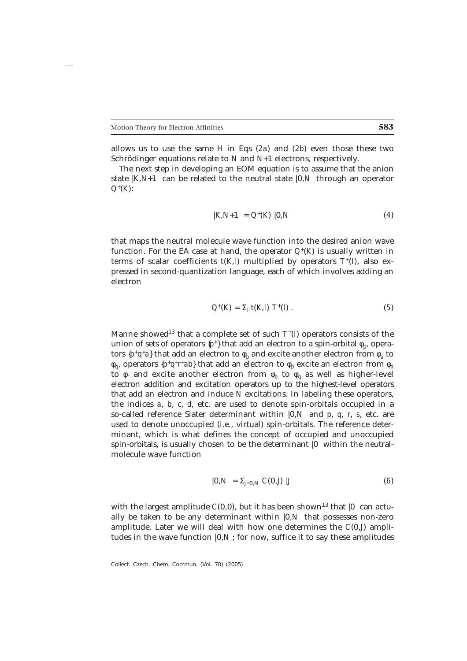allows us to use the same *H* in Eqs (*2a*) and (*2b*) even those these two Schrödinger equations relate to *N* and *N*+1 electrons, respectively.

The next step in developing an EOM equation is to assume that the anion state  $|K,N+1\rangle$  can be related to the neutral state  $|0,N\rangle$  through an operator *Q*+(*K*):

$$
|K,N+1\rangle = Q^+(K) |0,N\rangle \qquad (4)
$$

that maps the neutral molecule wave function into the desired anion wave function. For the EA case at hand, the operator  $Q^+(K)$  is usually written in terms of scalar coefficients  $t(K, I)$  multiplied by operators  $T^*(I)$ , also expressed in second-quantization language, each of which involves adding an electron

$$
Q^+(K) = \Sigma_I t(K,I) T^+(I) . \qquad (5)
$$

Manne showed<sup>13</sup> that a complete set of such  $T^*(l)$  operators consists of the union of sets of operators  $\{p^+\}$  that add an electron to a spin-orbital  $\phi_p$ , operators  $\{p^+q^+a\}$  that add an electron to  $\phi_p$  and excite another electron from  $\phi_a$  to  $\phi_q$ , operators  $\{p^+q^+r^+ab\}$  that add an electron to  $\phi_p$  excite an electron from  $\phi_q$ to φ<sup>*r*</sup> and excite another electron from φ<sub>*b*</sub> to φ<sub>*q*</sub> as well as higher-level electron addition and excitation operators up to the highest-level operators that add an electron and induce *N* excitations. In labeling these operators, the indices *a*, *b*, *c*, *d*, etc. are used to denote spin-orbitals occupied in a so-called reference Slater determinant within  $|0,N\rangle$  and p, q, r, s, etc. are used to denote unoccupied (i.e., virtual) spin-orbitals. The reference determinant, which is what defines the concept of occupied and unoccupied spin-orbitals, is usually chosen to be the determinant  $|0\rangle$  within the neutralmolecule wave function

$$
|0,N\rangle = \Sigma_{J=0,M} C(0,J) |J\rangle \qquad (6)
$$

with the largest amplitude  $C(0,0)$ , but it has been shown<sup>13</sup> that  $|0\rangle$  can actually be taken to be any determinant within  $|0,N\rangle$  that possesses non-zero amplitude. Later we will deal with how one determines the *C*(0,*J*) amplitudes in the wave function  $|0,N\rangle$ ; for now, suffice it to say these amplitudes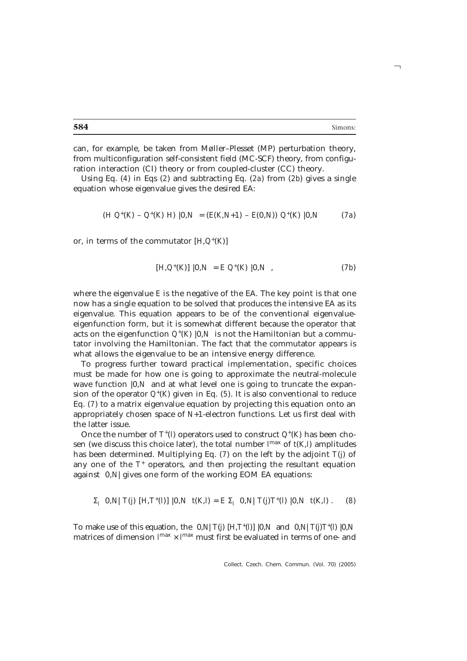can, for example, be taken from Møller–Plesset (MP) perturbation theory, from multiconfiguration self-consistent field (MC-SCF) theory, from configuration interaction (CI) theory or from coupled-cluster (CC) theory.

Using Eq. (*4*) in Eqs (*2*) and subtracting Eq. (*2a*) from (*2b*) gives a single equation whose eigenvalue gives the desired EA:

$$
(H Q^+(K) - Q^+(K) H) |0,N\rangle = (E(K,N+1) - E(0,N)) Q^+(K) |0,N\rangle \qquad (7a)
$$

or, in terms of the commutator [*H*,*Q*+(*K*)]

$$
[H, Q^+(K)] |0,N\rangle = E Q^+(K) |0,N\rangle , \qquad (7b)
$$

where the eigenvalue  $E$  is the negative of the EA. The key point is that one now has a single equation to be solved that produces the intensive EA as its eigenvalue. This equation appears to be of the conventional eigenvalueeigenfunction form, but it is somewhat different because the operator that acts on the eigenfunction  $Q^+(K)$  |0,*N* $\rangle$  is not the Hamiltonian but a commutator involving the Hamiltonian. The fact that the commutator appears is what allows the eigenvalue to be an intensive energy difference.

To progress further toward practical implementation, specific choices must be made for how one is going to approximate the neutral-molecule wave function  $|0,N\rangle$  and at what level one is going to truncate the expansion of the operator  $Q^*(K)$  given in Eq. (5). It is also conventional to reduce Eq. (*7*) to a matrix eigenvalue equation by projecting this equation onto an appropriately chosen space of *N*+1-electron functions. Let us first deal with the latter issue.

Once the number of  $T^{\dagger}(l)$  operators used to construct  $Q^{\dagger}(K)$  has been chosen (we discuss this choice later), the total number  $f<sup>max</sup>$  of  $t(K, I)$  amplitudes has been determined. Multiplying Eq. (*7*) on the left by the adjoint *T*(*j*) of any one of the *T*<sup>+</sup> operators, and then projecting the resultant equation against  $(0, N)$  gives one form of the working EOM EA equations:

$$
\Sigma_I \langle 0,N | T(j) [H,T^*(l)] | 0,N \rangle t(K,l) = E \Sigma_I \langle 0,N | T(j)T^*(l) | 0,N \rangle t(K,l).
$$
 (8)

To make use of this equation, the  $\langle 0, N | T(j) [H, T^*(l)] | 0, N \rangle$  and  $\langle 0, N | T(j) T^*(l) | 0, N \rangle$ matrices of dimension  $l^{\max}\times l^{\max}$  must first be evaluated in terms of one- and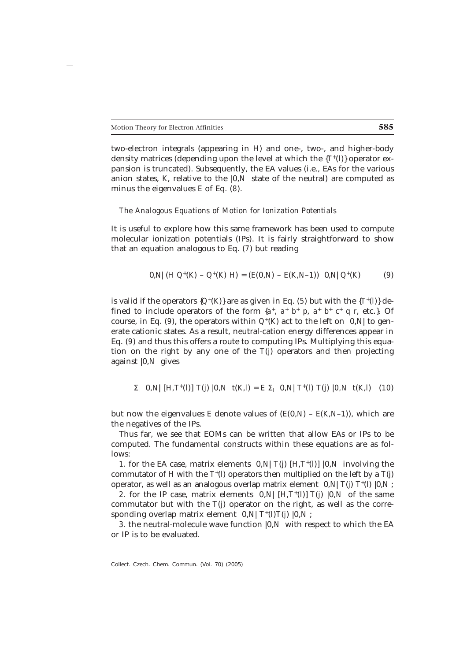two-electron integrals (appearing in *H*) and one-, two-, and higher-body density matrices (depending upon the level at which the  $\{T^*(l)\}$  operator expansion is truncated). Subsequently, the EA values (i.e., EAs for the various anion states, *K*, relative to the  $|0,N\rangle$  state of the neutral) are computed as minus the eigenvalues *E* of Eq. (*8*).

### *The Analogous Equations of Motion for Ionization Potentials*

It is useful to explore how this same framework has been used to compute molecular ionization potentials (IPs). It is fairly straightforward to show that an equation analogous to Eq. (*7*) but reading

$$
\langle 0,N \rangle \left( H \ Q^{+}(K) - Q^{+}(K) \ H \right) = \left( E(0,N) - E(K,N-1) \right) \langle 0,N \rangle \ Q^{+}(K) \tag{9}
$$

is valid if the operators  $\{Q^+(K)\}$  are as given in Eq. (5) but with the  $\{T^*(l)\}$  defined to include operators of the form  $\{a^+, a^+ b^+, p, a^+ b^+, c^+, q, r, \text{etc.}\}$ . Of course, in Eq. (9), the operators within  $Q^+(K)$  act to the left on  $(0,N]$  to generate cationic states. As a result, neutral-cation energy differences appear in Eq. (*9*) and thus this offers a route to computing IPs. Multiplying this equation on the right by any one of the *T*(*j*) operators and then projecting against |0,*N*〉 gives

$$
\Sigma_I \langle 0,N | [H, T^*(I)] \ T(j) | 0,N \rangle \ t(K,I) = E \ \Sigma_I \langle 0,N | \ T^*(I) \ T(j) | 0,N \rangle \ t(K,I) \ (10)
$$

but now the eigenvalues *E* denote values of (*E*(0,*N*) – *E*(*K*,*N*–1)), which are the negatives of the IPs.

Thus far, we see that EOMs can be written that allow EAs or IPs to be computed. The fundamental constructs within these equations are as follows:

*1*. for the EA case, matrix elements  $(0,N)$   $T(j)$   $[H, T^*(l)]$   $[0,N)$  involving the commutator of *H* with the *T*<sup>+</sup>(*l*) operators then multiplied on the left by a *T*(*j*) operator, as well as an analogous overlap matrix element 〈0,*N*| *T*(*j*) *T*+(*l*) |0,*N*〉;

2. for the IP case, matrix elements  $(0,N)$  [*H*,*T*<sup>+</sup>(*l*)] *T*(*j*)  $(0,N)$  of the same commutator but with the *T*(*j*) operator on the right, as well as the corresponding overlap matrix element  $\langle 0, N | T^*(I)T(j) | 0, N \rangle$ ;

*3*. the neutral-molecule wave function |0,*N*〉 with respect to which the EA or IP is to be evaluated.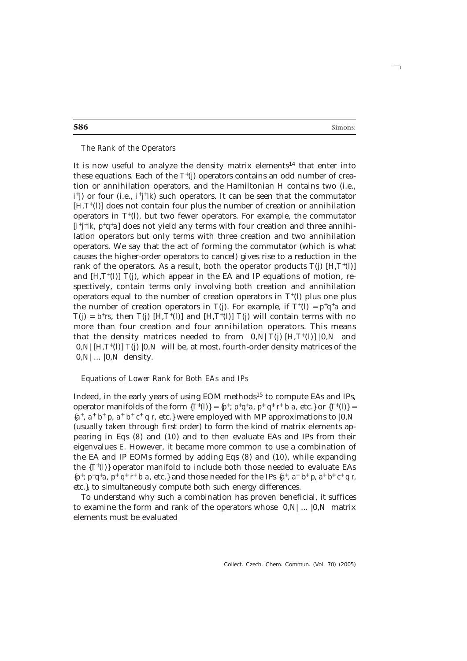#### *The Rank of the Operators*

It is now useful to analyze the density matrix elements<sup>14</sup> that enter into these equations. Each of the  $T^*(\hat{j})$  operators contains an odd number of creation or annihilation operators, and the Hamiltonian *H* contains two (i.e., *i*<sup>t</sup>*j*) or four (i.e., *i*<sup>+</sup>*j*<sup>+</sup>*lk*) such operators. It can be seen that the commutator  $[H, T^*(l)]$  does not contain four plus the number of creation or annihilation operators in  $T^*(l)$ , but two fewer operators. For example, the commutator [*i*<sup>+</sup>*j*<sup>+</sup>*lk*, *p*<sup>+</sup>*q*<sup>+</sup>*a*] does not yield any terms with four creation and three annihilation operators but only terms with three creation and two annihilation operators. We say that the act of forming the commutator (which is what causes the higher-order operators to cancel) gives rise to a reduction in the rank of the operators. As a result, both the operator products  $T(j)$   $[H, T^*(l)]$ and  $[H, T^*(h)$  *T*(*j*), which appear in the EA and IP equations of motion, respectively, contain terms only involving both creation and annihilation operators equal to the number of creation operators in  $T^*(l)$  plus one plus the number of creation operators in *T*(*j*). For example, if  $T^*(I) = p^+q^+a$  and *T*(*j*) = *b*+*rs*, then *T*(*j*) [*H*,*T*<sup>+</sup>(*l*)] and [*H*,*T*<sup>+</sup>(*l*)] *T*(*j*) will contain terms with no more than four creation and four annihilation operators. This means that the density matrices needed to from  $\langle 0, N | T(i) | H, T^*(i) | 0, N \rangle$  and  $\langle 0,N \rangle$  [*H*, *T*<sup>+</sup>(*l*)] *T*(*j*)  $|0,N\rangle$  will be, at most, fourth-order density matrices of the 〈0,*N*| ... |0,*N*〉 density.

#### *Equations of Lower Rank for Both EAs and IPs*

Indeed, in the early years of using EOM methods<sup>15</sup> to compute EAs and IPs, operator manifolds of the form  $\{T^*(l)\} = \{p^+; p^+q^+a, p^+q^+r^+b, a, \text{etc.}\}$  or  $\{T^*(l)\} =$  ${a^+, a^+ b^+, p, a^+ b^+ c^+, q, r, \text{ etc.}}$  were employed with MP approximations to  $|0, N\rangle$ (usually taken through first order) to form the kind of matrix elements appearing in Eqs (*8*) and (*10*) and to then evaluate EAs and IPs from their eigenvalues *E*. However, it became more common to use a combination of the EA and IP EOMs formed by adding Eqs (*8*) and (*10*), while expanding the  $\{T^*(l)\}$  operator manifold to include both those needed to evaluate EAs  ${p^+; p^+q^+a, p^+q^+r^+b a, \text{ etc.}}$  and those needed for the IPs  ${a^+, a^+b^+p, a^+b^+c^+q r, \text{ etc.}}$ etc.}, to simultaneously compute both such energy differences.

To understand why such a combination has proven beneficial, it suffices to examine the form and rank of the operators whose  $\langle 0, N \rangle$  ...  $|0, N \rangle$  matrix elements must be evaluated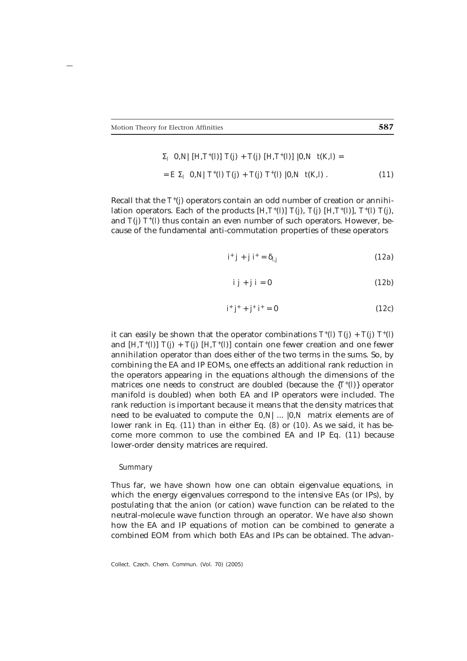$$
\Sigma_I \langle 0, N | [H, T^*(I)] \ T(j) + T(j) [H, T^*(I)] | 0, N \rangle \ t(K, I) =
$$
  
=  $E \Sigma_I \langle 0, N | T^*(I) \ T(j) + T(j) \ T^*(I) | 0, N \rangle \ t(K, I)$ . (11)

Recall that the *T*+(*j*) operators contain an odd number of creation or annihilation operators. Each of the products  $[H, T^*(I)]$   $T(j)$ ,  $T(j)$   $[H, T^*(I)]$ ,  $T^*(I)$   $T(j)$ , and  $T(j)$   $T^*(l)$  thus contain an even number of such operators. However, because of the fundamental anti-commutation properties of these operators

$$
i^+ j + j i^+ = \delta_{i,j} \tag{12a}
$$

$$
i j + j i = 0 \tag{12b}
$$

$$
i^+ j^+ + j^+ i^+ = 0 \tag{12c}
$$

it can easily be shown that the operator combinations  $T^*(I) T(j) + T(j) T^*(I)$ and  $[H, T^*(I) \mid T(j) + T(j) \mid H, T^*(I)]$  contain one fewer creation and one fewer annihilation operator than does either of the two terms in the sums. So, by combining the EA and IP EOMs, one effects an additional rank reduction in the operators appearing in the equations although the dimensions of the matrices one needs to construct are doubled (because the  $\{T^*(l)\}$  operator manifold is doubled) when both EA and IP operators were included. The rank reduction is important because it means that the density matrices that need to be evaluated to compute the  $(0,N]$  ...  $|0,N\rangle$  matrix elements are of lower rank in Eq. (*11*) than in either Eq. (*8*) or (*10*). As we said, it has become more common to use the combined EA and IP Eq. (*11*) because lower-order density matrices are required.

#### *Summary*

Thus far, we have shown how one can obtain eigenvalue equations, in which the energy eigenvalues correspond to the intensive EAs (or IPs), by postulating that the anion (or cation) wave function can be related to the neutral-molecule wave function through an operator. We have also shown how the EA and IP equations of motion can be combined to generate a combined EOM from which both EAs and IPs can be obtained. The advan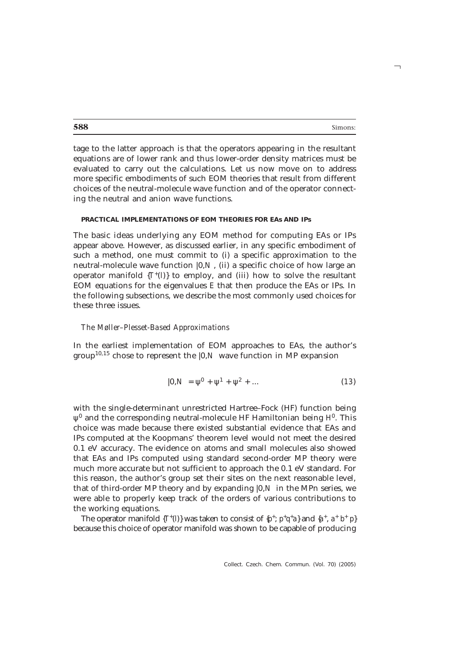tage to the latter approach is that the operators appearing in the resultant equations are of lower rank and thus lower-order density matrices must be evaluated to carry out the calculations. Let us now move on to address more specific embodiments of such EOM theories that result from different choices of the neutral-molecule wave function and of the operator connecting the neutral and anion wave functions.

#### **PRACTICAL IMPLEMENTATIONS OF EOM THEORIES FOR EAs AND IPs**

The basic ideas underlying any EOM method for computing EAs or IPs appear above. However, as discussed earlier, in any specific embodiment of such a method, one must commit to (i) a specific approximation to the neutral-molecule wave function |0,*N*〉, (ii) a specific choice of how large an operator manifold  $\{T^{\dagger}(l)\}$  to employ, and (iii) how to solve the resultant EOM equations for the eigenvalues *E* that then produce the EAs or IPs. In the following subsections, we describe the most commonly used choices for these three issues.

#### *The Møller–Plesset-Based Approximations*

In the earliest implementation of EOM approaches to EAs, the author's group<sup>10,15</sup> chose to represent the  $|0,N\rangle$  wave function in MP expansion

$$
|0,N\rangle = \psi^0 + \psi^1 + \psi^2 + \dots
$$
 (13)

with the single-determinant unrestricted Hartree–Fock (HF) function being ψ<sup>0</sup> and the corresponding neutral-molecule HF Hamiltonian being *H*0. This choice was made because there existed substantial evidence that EAs and IPs computed at the Koopmans' theorem level would not meet the desired 0.1 eV accuracy. The evidence on atoms and small molecules also showed that EAs and IPs computed using standard second-order MP theory were much more accurate but not sufficient to approach the 0.1 eV standard. For this reason, the author's group set their sites on the next reasonable level, that of third-order MP theory and by expanding  $|0,N\rangle$  in the MPn series, we were able to properly keep track of the orders of various contributions to the working equations.

The operator manifold  $\{T^{\dagger}(\ell)\}$  was taken to consist of  $\{p^{\dagger}; p^{\dagger}q^{\dagger}a\}$  and  $\{a^{\dagger}, a^{\dagger}b^{\dagger}p\}$ because this choice of operator manifold was shown to be capable of producing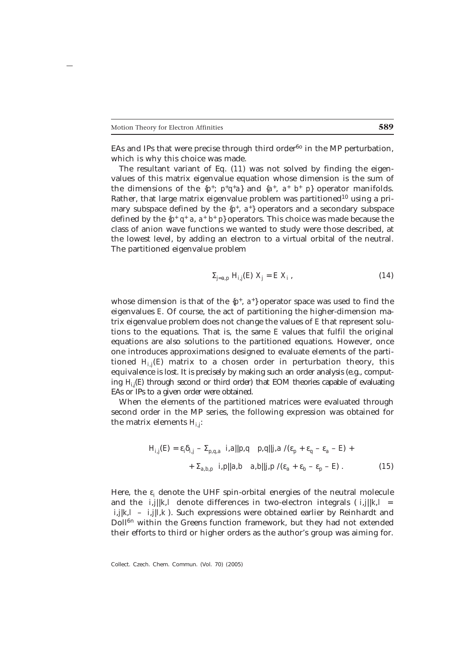EAs and IPs that were precise through third order $60$  in the MP perturbation, which is why this choice was made.

The resultant variant of Eq. (*11*) was not solved by finding the eigenvalues of this matrix eigenvalue equation whose dimension is the sum of the dimensions of the  $\overline{\{p^+; p^+q^+a\}}$  and  $\overline{\{a^+; a^+ b^+ p\}}$  operator manifolds. Rather, that large matrix eigenvalue problem was partitioned<sup>10</sup> using a primary subspace defined by the  $\{p^+, a^+\}$  operators and a secondary subspace defined by the  $\{p^+ q^+ a, a^+ b^+ p\}$  operators. This choice was made because the class of anion wave functions we wanted to study were those described, at the lowest level, by adding an electron to a virtual orbital of the neutral. The partitioned eigenvalue problem

$$
\sum_{j=a,p} H_{i,j}(E) \; X_j = E \; X_i \,, \tag{14}
$$

whose dimension is that of the  $\{p^+, a^+\}$  operator space was used to find the eigenvalues *E*. Of course, the act of partitioning the higher-dimension matrix eigenvalue problem does not change the values of *E* that represent solutions to the equations. That is, the same *E* values that fulfil the original equations are also solutions to the partitioned equations. However, once one introduces approximations designed to evaluate elements of the partitioned *Hi*,*<sup>j</sup>* (*E*) matrix to a chosen order in perturbation theory, this equivalence is lost. It is precisely by making such an order analysis (e.g., computing *Hi*,*<sup>j</sup>* (*E*) through second or third order) that EOM theories capable of evaluating EAs or IPs to a given order were obtained.

When the elements of the partitioned matrices were evaluated through second order in the MP series, the following expression was obtained for the matrix elements *Hi*,*<sup>j</sup>* :

$$
H_{i,j}(E) = \varepsilon_i \delta_{i,j} - \Sigma_{p,q,a} \langle i, a||p, q \rangle \langle p, q||j, a \rangle / (\varepsilon_p + \varepsilon_q - \varepsilon_a - E) +
$$
  
+ 
$$
\Sigma_{a,b,p} \langle i, p||a, b \rangle \langle a, b||j, p \rangle / (\varepsilon_a + \varepsilon_b - \varepsilon_p - E) .
$$
 (15)

Here, the  $\varepsilon_i$  denote the UHF spin-orbital energies of the neutral molecule and the  $\langle i, j \rangle | k, l \rangle$  denote differences in two-electron integrals  $(\langle i, j \rangle | k, l \rangle =$  $\langle i, j \rangle | k, l \rangle - \langle i, j \rangle | k, k \rangle$ ). Such expressions were obtained earlier by Reinhardt and Doll<sup>6n</sup> within the Greens function framework, but they had not extended their efforts to third or higher orders as the author's group was aiming for.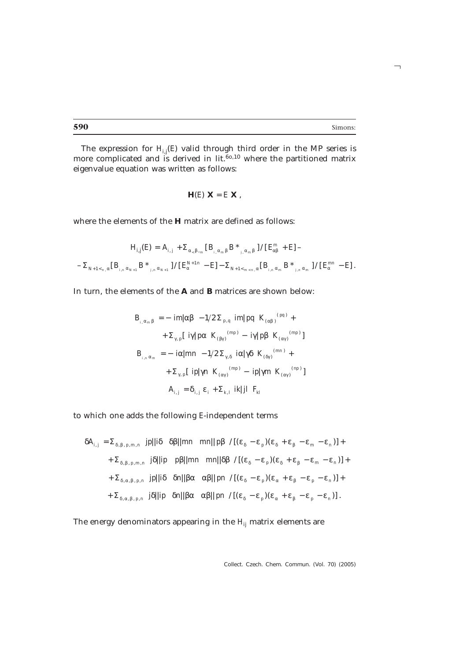The expression for  $H_{i,j}(E)$  valid through third order in the MP series is more complicated and is derived in lit.<sup>60,10</sup> where the partitioned matrix eigenvalue equation was written as follows:

$$
H(E) X = E X,
$$

where the elements of the *H* matrix are defined as follows:

$$
H_{i,j}(E) = A_{i,j} + \sum_{\alpha_{<\beta,m}} [B_{i,\alpha_m\beta} B^*_{j,\alpha_m\beta}] / [E_{\alpha\beta}^m + E] -
$$
  

$$
- \sum_{N+1 < n,\alpha} [B_{i,n} \alpha_{N+1} B^*_{j,n} \alpha_{N+1}] / [E_{\alpha}^{N+1} - E] - \sum_{N+1 < m < n,\alpha} [B_{i,n} \alpha_m B^*_{j,n} \alpha_m] / [E_{\alpha}^{mn} - E].
$$

In turn, the elements of the *A* and *B* matrices are shown below:

$$
B_{i,\alpha_{m}\beta} = -\langle im|\alpha\beta\rangle - 1/2 \Sigma_{p,q} \langle im|pq\rangle K_{(\alpha\beta)}^{\qquad (pq)} +
$$
  
+  $\Sigma_{\gamma,p}[\langle i\gamma|p\alpha\rangle K_{(\beta\gamma)}^{\qquad (mp)} - \langle i\gamma|p\beta\rangle K_{(\alpha\gamma)}^{\qquad (mp)}]$   

$$
B_{i,\alpha_{m}} = -\langle i\alpha|mn\rangle - 1/2 \Sigma_{\gamma,\delta} \langle i\alpha|\gamma\delta\rangle K_{(\delta\gamma)}^{\qquad (mn)} +
$$
  
+  $\Sigma_{\gamma,p}[\langle i\beta|\gamma n\rangle K_{(\alpha\gamma)}^{\qquad (mp)} - \langle i\beta|\gamma m\rangle K_{(\alpha\gamma)}^{\qquad (np)}]$   

$$
A_{i,j} = \delta_{i,j} \epsilon_{i} + \Sigma_{k,l} \langle i\kappa|j\hat{l}\rangle F_{kl}
$$

to which one adds the following *E*-independent terms

$$
\delta A_{i,j} = \sum_{\delta,\beta,\,p,\,m,\,n} \langle jp||i\delta\rangle \langle \delta\beta||mn\rangle \langle mn||p\beta\rangle / [(\varepsilon_{\delta} - \varepsilon_{p})(\varepsilon_{\delta} + \varepsilon_{\beta} - \varepsilon_{m} - \varepsilon_{n})] +
$$
  
+ 
$$
\sum_{\delta,\beta,\,p,\,m,\,n} \langle j\delta||ip\rangle \langle p\beta||mn\rangle \langle mn||\delta\beta\rangle / [(\varepsilon_{\delta} - \varepsilon_{p})(\varepsilon_{\delta} + \varepsilon_{\beta} - \varepsilon_{m} - \varepsilon_{n})] +
$$
  
+ 
$$
\sum_{\delta,\alpha,\,\beta,\,p,\,n} \langle jp||i\delta\rangle \langle \delta n||\beta\alpha\rangle \langle \alpha\beta||pn\rangle / [(\varepsilon_{\delta} - \varepsilon_{p})(\varepsilon_{\alpha} + \varepsilon_{\beta} - \varepsilon_{p} - \varepsilon_{n})] +
$$
  
+ 
$$
\sum_{\delta,\alpha,\,\beta,\,p,\,n} \langle j\delta||ip\rangle \langle \delta n||\beta\alpha\rangle \langle \alpha\beta||pn\rangle / [(\varepsilon_{\delta} - \varepsilon_{p})(\varepsilon_{\alpha} + \varepsilon_{\beta} - \varepsilon_{p} - \varepsilon_{n})].
$$

The energy denominators appearing in the *Hij* matrix elements are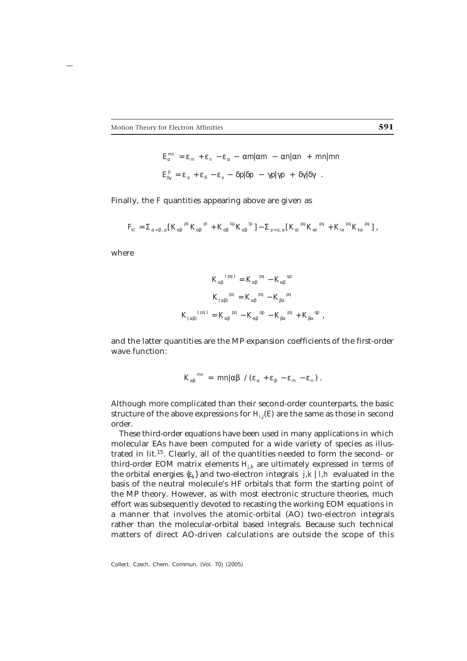$$
E_{\alpha}^{mn} = \varepsilon_m + \varepsilon_n - \varepsilon_{\alpha} - \langle \alpha m | \alpha m \rangle - \langle \alpha n | \alpha n \rangle + \langle m n | m n \rangle
$$
  

$$
E_{\delta \gamma}^p = \varepsilon_p + \varepsilon_{\delta} - \varepsilon_{\gamma} - \langle \delta p | \delta p \rangle - \langle \gamma p | \gamma p \rangle + \langle \delta \gamma | \delta \gamma \rangle.
$$

Finally, the *F* quantities appearing above are given as

$$
F_{kl} = \sum_{\alpha < \beta, p} \left[ \, K_{\alpha\beta} \, P^{k} \, K_{\alpha\beta} \, P^{l} + K_{\alpha\beta} \, {}^{kp} \, K_{\alpha\beta} \, {}^{lp} \, \right] - \sum_{p < q, \alpha} \left[ \, K_{\alpha l} \, {}^{pq} \, K_{\alpha k} \, {}^{pq} \, + K_{l\alpha} \, {}^{pq} \, K_{k\alpha} \, {}^{pq} \, \right] \, ,
$$

where

$$
K_{\alpha\beta}^{(\rho q)} = K_{\alpha\beta}^{pq} - K_{\alpha\beta}^{qp}
$$
  

$$
K_{(\alpha\beta)}^{pq} = K_{\alpha\beta}^{pq} - K_{\beta\alpha}^{pq}
$$
  

$$
K_{(\alpha\beta)}^{(\rho q)} = K_{\alpha\beta}^{pq} - K_{\alpha\beta}^{qp} - K_{\beta\alpha}^{pq} + K_{\beta\alpha}^{qp}
$$

and the latter quantities are the MP expansion coefficients of the first-order wave function:

$$
K_{\alpha\beta}^{mn} = \langle mn|\alpha\beta\rangle / (\varepsilon_{\alpha} + \varepsilon_{\beta} - \varepsilon_{m} - \varepsilon_{n}).
$$

Although more complicated than their second-order counterparts, the basic structure of the above expressions for *Hi*,*<sup>j</sup>* (*E*) are the same as those in second order.

These third-order equations have been used in many applications in which molecular EAs have been computed for a wide variety of species as illustrated in lit.15. Clearly, all of the quantities needed to form the second- or third-order EOM matrix elements  $H_{i,k}$  are ultimately expressed in terms of the orbital energies  $\{\varepsilon_k\}$  and two-electron integrals  $\langle j, k | l, h \rangle$  evaluated in the basis of the neutral molecule's HF orbitals that form the starting point of the MP theory. However, as with most electronic structure theories, much effort was subsequently devoted to recasting the working EOM equations in a manner that involves the atomic-orbital (AO) two-electron integrals rather than the molecular-orbital based integrals. Because such technical matters of direct AO-driven calculations are outside the scope of this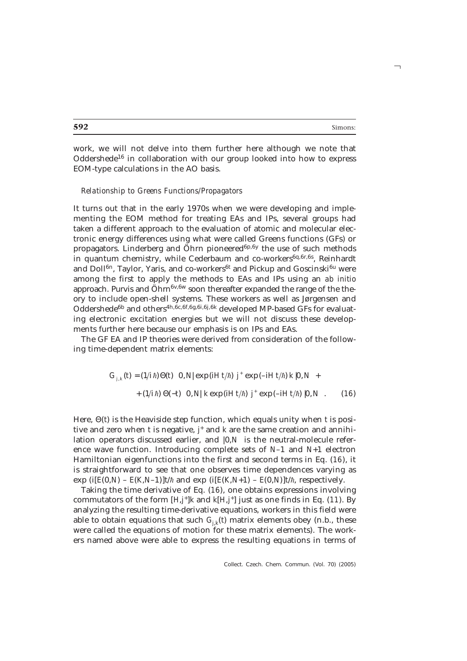work, we will not delve into them further here although we note that Oddershede<sup>16</sup> in collaboration with our group looked into how to express EOM-type calculations in the AO basis.

#### *Relationship to Greens Functions/Propagators*

It turns out that in the early 1970s when we were developing and implementing the EOM method for treating EAs and IPs, several groups had taken a different approach to the evaluation of atomic and molecular electronic energy differences using what were called Greens functions (GFs) or propagators. Linderberg and Öhrn pioneered $6p,6y$  the use of such methods in quantum chemistry, while Cederbaum and co-workers $6q, 6r, 6s$ , Reinhardt and Doll<sup>6n</sup>, Taylor, Yaris, and co-workers<sup>6t</sup> and Pickup and Goscinski<sup>6u</sup> were among the first to apply the methods to EAs and IPs using an *ab initio* approach. Purvis and Öhrn<sup>6v,6w</sup> soon thereafter expanded the range of the theory to include open-shell systems. These workers as well as Jørgensen and Oddershede<sup>6b</sup> and others<sup>4h,6c,6f,6g,6i,6j,6k</sup> developed MP-based GFs for evaluating electronic excitation energies but we will not discuss these developments further here because our emphasis is on IPs and EAs.

The GF EA and IP theories were derived from consideration of the following time-dependent matrix elements:

$$
G_{j,k}(t) = (1/i\hbar) \Theta(t) \langle 0, N] \exp(iH t/\hbar) j^+ \exp(-iH t/\hbar) k |0, N\rangle ++ (1/i\hbar) \Theta(-t) \langle 0, N] k \exp(iH t/\hbar) j^+ \exp(-iH t/\hbar) |0, N\rangle.
$$
 (16)

Here, Θ(*t*) is the Heaviside step function, which equals unity when *t* is positive and zero when *t* is negative, *j* <sup>+</sup> and *k* are the same creation and annihilation operators discussed earlier, and  $|0,N\rangle$  is the neutral-molecule reference wave function. Introducing complete sets of *N*–1 and *N*+1 electron Hamiltonian eigenfunctions into the first and second terms in Eq. (*16*), it is straightforward to see that one observes time dependences varying as exp (i[ $E(0,N)$  –  $E(K,N-1)$ ]*t*/h and exp (i[ $E(K,N+1)$  –  $E(0,N)$ ]*t*/h, respectively.

Taking the time derivative of Eq. (*16*), one obtains expressions involving commutators of the form  $[H, j^*]k$  and  $k[H, j^*]$  just as one finds in Eq. (11). By analyzing the resulting time-derivative equations, workers in this field were able to obtain equations that such  $G_{i,k}(t)$  matrix elements obey (n.b., these were called the equations of motion for these matrix elements). The workers named above were able to express the resulting equations in terms of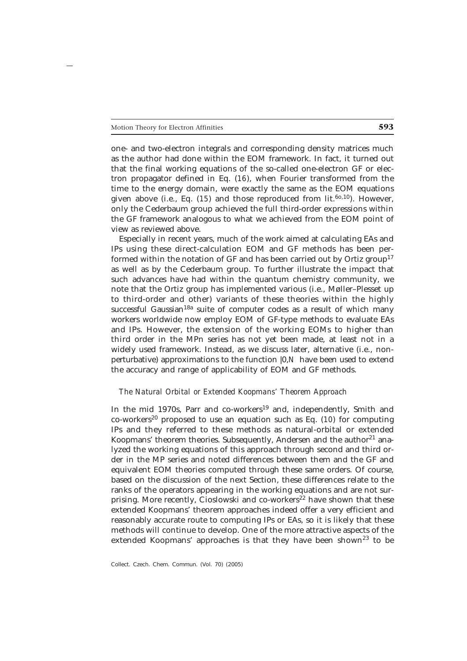one- and two-electron integrals and corresponding density matrices much as the author had done within the EOM framework. In fact, it turned out that the final working equations of the so-called one-electron GF or electron propagator defined in Eq. (*16*), when Fourier transformed from the time to the energy domain, were exactly the same as the EOM equations given above (i.e., Eq.  $(15)$  and those reproduced from lit.<sup>6o,10</sup>). However, only the Cederbaum group achieved the full third-order expressions within the GF framework analogous to what we achieved from the EOM point of view as reviewed above.

Especially in recent years, much of the work aimed at calculating EAs and IPs using these direct-calculation EOM and GF methods has been performed within the notation of GF and has been carried out by Ortiz group<sup>17</sup> as well as by the Cederbaum group. To further illustrate the impact that such advances have had within the quantum chemistry community, we note that the Ortiz group has implemented various (i.e., Møller–Plesset up to third-order and other) variants of these theories within the highly successful Gaussian<sup>18a</sup> suite of computer codes as a result of which many workers worldwide now employ EOM of GF-type methods to evaluate EAs and IPs. However, the extension of the working EOMs to higher than third order in the MPn series has not yet been made, at least not in a widely used framework. Instead, as we discuss later, alternative (i.e., nonperturbative) approximations to the function |0,*N*〉 have been used to extend the accuracy and range of applicability of EOM and GF methods.

## *The Natural Orbital or Extended Koopmans' Theorem Approach*

In the mid 1970s, Parr and co-workers $19$  and, independently, Smith and co-workers<sup>20</sup> proposed to use an equation such as Eq. (*10*) for computing IPs and they referred to these methods as natural-orbital or extended Koopmans' theorem theories. Subsequently, Andersen and the author<sup>21</sup> analyzed the working equations of this approach through second and third order in the MP series and noted differences between them and the GF and equivalent EOM theories computed through these same orders. Of course, based on the discussion of the next Section, these differences relate to the ranks of the operators appearing in the working equations and are not surprising. More recently, Cioslowski and co-workers<sup>22</sup> have shown that these extended Koopmans' theorem approaches indeed offer a very efficient and reasonably accurate route to computing IPs or EAs, so it is likely that these methods will continue to develop. One of the more attractive aspects of the extended Koopmans' approaches is that they have been shown<sup>23</sup> to be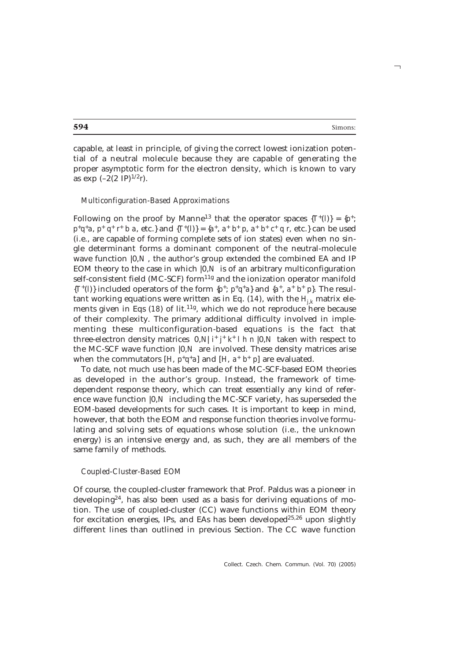capable, at least in principle, of giving the correct lowest ionization potential of a neutral molecule because they are capable of generating the proper asymptotic form for the electron density, which is known to vary as exp  $(-2(2 \text{ IP})^{1/2}r)$ .

#### *Multiconfiguration-Based Approximations*

Following on the proof by Manne<sup>13</sup> that the operator spaces  $\{T^{\dagger}(l)\} = \{p^{\dagger};$  $p^+q^+a$ ,  $p^+q^+r^+b$  *a*, etc.} and  $\{T^*(l)\} = \{a^+, a^+b^+, p a^+b^+c^+ q r,$  etc.} can be used (i.e., are capable of forming complete sets of ion states) even when no single determinant forms a dominant component of the neutral-molecule wave function  $|0,N\rangle$ , the author's group extended the combined EA and IP EOM theory to the case in which  $|0,N\rangle$  is of an arbitrary multiconfiguration self-consistent field (MC-SCF) form<sup>11g</sup> and the ionization operator manifold  ${T<sup>+</sup>(*l*)}$  included operators of the form  ${p<sup>+</sup>; p<sup>+</sup>q<sup>+</sup>a}$  and  ${a<sup>+</sup>, a<sup>+</sup> b<sup>+</sup> p}.$  The resultant working equations were written as in Eq. (14), with the  $H_{ik}$  matrix elements given in Eqs  $(18)$  of lit.<sup>11g</sup>, which we do not reproduce here because of their complexity. The primary additional difficulty involved in implementing these multiconfiguration-based equations is the fact that three-electron density matrices  $\langle 0,N \rangle$  *i*<sup>+</sup> *j*<sup>+</sup> *k*<sup>+</sup> *l h n*  $|0,N\rangle$  taken with respect to the MC-SCF wave function  $|0,N\rangle$  are involved. These density matrices arise when the commutators  $[H, p^+q^+a]$  and  $[H, a^+b^+p]$  are evaluated.

To date, not much use has been made of the MC-SCF-based EOM theories as developed in the author's group. Instead, the framework of timedependent response theory, which can treat essentially any kind of reference wave function |0,*N*〉 including the MC-SCF variety, has superseded the EOM-based developments for such cases. It is important to keep in mind, however, that both the EOM and response function theories involve formulating and solving sets of equations whose solution (i.e., the unknown energy) is an intensive energy and, as such, they are all members of the same family of methods.

#### *Coupled-Cluster-Based EOM*

Of course, the coupled-cluster framework that Prof. Paldus was a pioneer in developing24, has also been used as a basis for deriving equations of motion. The use of coupled-cluster (CC) wave functions within EOM theory for excitation energies, IPs, and EAs has been developed<sup>25,26</sup> upon slightly different lines than outlined in previous Section. The CC wave function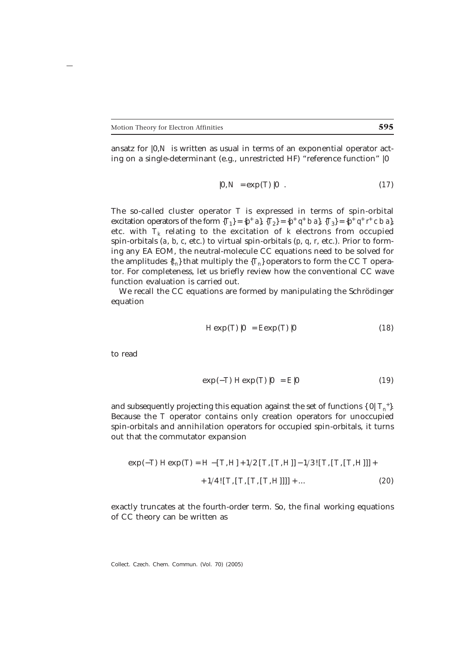$$
|0,N\rangle = \exp(T) |0\rangle.
$$
 (17)

The so-called cluster operator  $T$  is expressed in terms of spin-orbital excitation operators of the form  $\{T_1\} = \{p^+ \ a\}$ ,  $\{T_2\} = \{p^+ \ q^+ \ b \ a\}$ ,  $\{T_3\} = \{p^+ \ q^+ \ r^+ \ c \ b \ a\}$ , etc. with  $T_k$  relating to the excitation of  $k$  electrons from occupied spin-orbitals (*a*, *b*, *c*, etc.) to virtual spin-orbitals (*p*, *q*, *r*, etc.). Prior to forming any EA EOM, the neutral-molecule CC equations need to be solved for the amplitudes  $\{t_n\}$  that multiply the  $\{T_n\}$  operators to form the CC *T* operator. For completeness, let us briefly review how the conventional CC wave function evaluation is carried out.

ansatz for  $|0,N\rangle$  is written as usual in terms of an exponential operator act-

We recall the CC equations are formed by manipulating the Schrödinger equation

$$
H \exp(T) |0\rangle = E \exp(T) |0\rangle \tag{18}
$$

to read

$$
\exp(-T) H \exp(T) |0\rangle = E |0\rangle \tag{19}
$$

and subsequently projecting this equation against the set of functions  $\{\langle 0 | T_n^{\dagger} \} \rangle$ . Because the *T* operator contains only creation operators for unoccupied spin-orbitals and annihilation operators for occupied spin-orbitals, it turns out that the commutator expansion

$$
\exp(-T) H \exp(T) = H - [T, H] + 1/2 [T, [T, H]] - 1/3! [T, [T, [T, H]]] +
$$
  
+ 1/4! [T, [T, [T, [T, H]]]] + ... (20)

exactly truncates at the fourth-order term. So, the final working equations of CC theory can be written as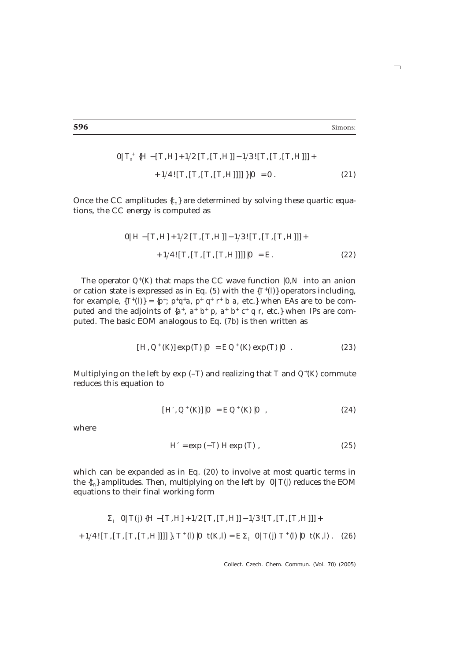$$
\langle 0| T_n^+ \{H - [T, H] + 1/2 [T, [T, H]] - 1/3! [T, [T, [T, H]]] \} + 1/4! [T, [T, [T, [T, H]]]] \} |0 \rangle = 0.
$$
 (21)

Once the CC amplitudes  $\{t_n\}$  are determined by solving these quartic equations, the CC energy is computed as

$$
\langle 0| H - [T, H] + 1/2 [T, [T, H]] - 1/3! [T, [T, [T, H]]] ++ 1/4! [T, [T, [T, [T, H]]]] |0\rangle = E.
$$
 (22)

The operator  $Q^+(K)$  that maps the CC wave function  $|0,N\rangle$  into an anion or cation state is expressed as in Eq. (5) with the  $\{T^*(l)\}$  operators including, for example,  $\{T^*(l)\} = \{p^+; p^+q^+a, p^+q^+r^+b, a, \text{etc.}\}\$  when EAs are to be computed and the adjoints of  $\{a^+, a^+, b^+, p, a^+, b^+, c^+, q, r, \text{etc.}\}\)$  when IPs are computed. The basic EOM analogous to Eq. (*7b*) is then written as

$$
[H, Q^+(K)] \exp(T) |0\rangle = E Q^+(K) \exp(T) |0\rangle.
$$
 (23)

Multiplying on the left by exp (–*T*) and realizing that *T* and *Q*+(*K*) commute reduces this equation to

$$
[H', Q^+(K)] |0\rangle = E Q^+(K) |0\rangle , \qquad (24)
$$

where

$$
H' = \exp(-T) H \exp(T), \qquad (25)
$$

which can be expanded as in Eq. (*20*) to involve at most quartic terms in the  $\{t_n\}$  amplitudes. Then, multiplying on the left by  $\langle 0|T(j)$  reduces the EOM equations to their final working form

$$
\Sigma_1 \langle 0| T(f) \{H - [T, H] + 1/2 [T, [T, H]] - 1/3! [T, [T, [T, H]]] + 1/4! [T, [T, [T, [T, H]]]]\}, T^*(f) | 0 \rangle t(K, f) = E \Sigma_1 \langle 0| T(f) T^*(f) | 0 \rangle t(K, f).
$$
 (26)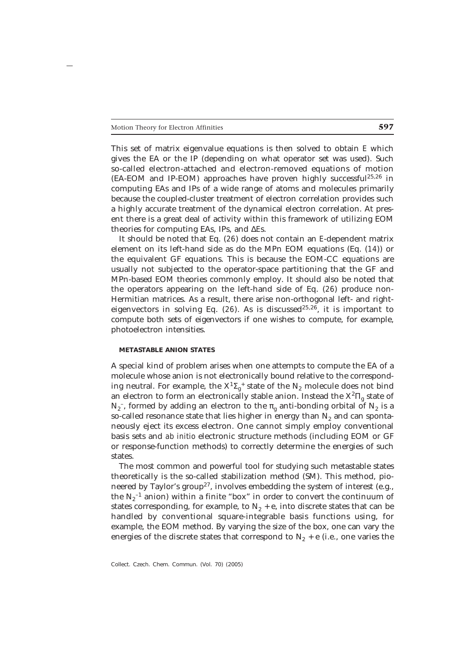This set of matrix eigenvalue equations is then solved to obtain *E* which gives the EA or the IP (depending on what operator set was used). Such so-called electron-attached and electron-removed equations of motion (EA-EOM and IP-EOM) approaches have proven highly successful25,26 in computing EAs and IPs of a wide range of atoms and molecules primarily because the coupled-cluster treatment of electron correlation provides such a highly accurate treatment of the dynamical electron correlation. At present there is a great deal of activity within this framework of utilizing EOM theories for computing EAs, IPs, and ∆*E*s.

It should be noted that Eq. (*26*) does not contain an *E*-dependent matrix element on its left-hand side as do the MPn EOM equations (Eq. (*14*)) or the equivalent GF equations. This is because the EOM-CC equations are usually not subjected to the operator-space partitioning that the GF and MPn-based EOM theories commonly employ. It should also be noted that the operators appearing on the left-hand side of Eq. (*26*) produce non-Hermitian matrices. As a result, there arise non-orthogonal left- and righteigenvectors in solving Eq.  $(26)$ . As is discussed<sup>25,26</sup>, it is important to compute both sets of eigenvectors if one wishes to compute, for example, photoelectron intensities.

#### **METASTABLE ANION STATES**

A special kind of problem arises when one attempts to compute the EA of a molecule whose anion is not electronically bound relative to the corresponding neutral. For example, the  $X^1\Sigma_g^+$  state of the  $\mathrm{N}_2$  molecule does not bind an electron to form an electronically stable anion. Instead the  $X^2\Pi_g$  state of  $\rm N_2$ <sup>-</sup>, formed by adding an electron to the  $\rm \pi_g$  anti-bonding orbital of  $\rm N_2$  is a so-called resonance state that lies higher in energy than  $N_2$  and can spontaneously eject its excess electron. One cannot simply employ conventional basis sets and *ab initio* electronic structure methods (including EOM or GF or response-function methods) to correctly determine the energies of such states.

The most common and powerful tool for studying such metastable states theoretically is the so-called stabilization method (SM). This method, pioneered by Taylor's group<sup>27</sup>, involves embedding the system of interest (e.g., the  $N_2$ <sup>-1</sup> anion) within a finite "box" in order to convert the continuum of states corresponding, for example, to  $N_2 + e$ , into discrete states that can be handled by conventional square-integrable basis functions using, for example, the EOM method. By varying the size of the box, one can vary the energies of the discrete states that correspond to  $N_2 + e$  (i.e., one varies the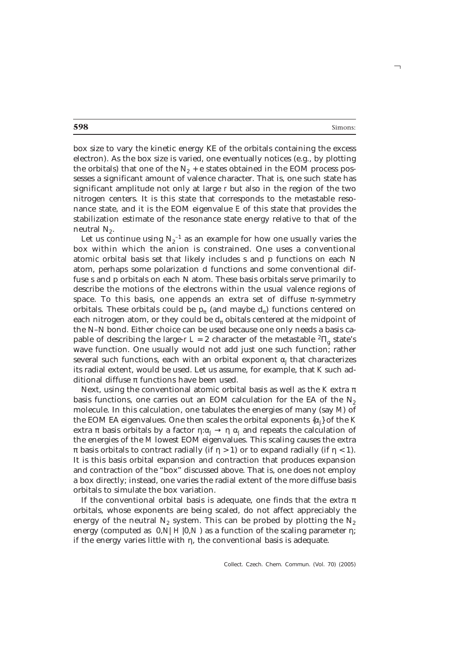box size to vary the kinetic energy KE of the orbitals containing the excess electron). As the box size is varied, one eventually notices (e.g., by plotting the orbitals) that one of the  $N_2$  + e states obtained in the EOM process possesses a significant amount of valence character. That is, one such state has significant amplitude not only at large *r* but also in the region of the two nitrogen centers. It is this state that corresponds to the metastable resonance state, and it is the EOM eigenvalue *E* of this state that provides the stabilization estimate of the resonance state energy relative to that of the neutral  $N<sub>2</sub>$ .

Let us continue using  $N_2^{-1}$  as an example for how one usually varies the box within which the anion is constrained. One uses a conventional atomic orbital basis set that likely includes s and p functions on each N atom, perhaps some polarization d functions and some conventional diffuse s and p orbitals on each N atom. These basis orbitals serve primarily to describe the motions of the electrons within the usual valence regions of space. To this basis, one appends an extra set of diffuse  $\pi$ -symmetry orbitals. These orbitals could be  $p_{\pi}$  (and maybe  $d_{\pi}$ ) functions centered on each nitrogen atom, or they could be  $d<sub>\pi</sub>$  obitals centered at the midpoint of the N–N bond. Either choice can be used because one only needs a basis capable of describing the large-*r L* = 2 character of the metastable  ${}^{2}$  $\Pi_{\alpha}$  state's wave function. One usually would not add just one such function; rather several such functions, each with an orbital exponent  $\alpha$ <sub>*I*</sub> that characterizes its radial extent, would be used. Let us assume, for example, that *K* such additional diffuse  $\pi$  functions have been used.

Next, using the conventional atomic orbital basis as well as the *K* extra π basis functions, one carries out an EOM calculation for the EA of the  $N_2$ molecule. In this calculation, one tabulates the energies of many (say *M*) of the EOM EA eigenvalues. One then scales the orbital exponents {α*<sup>J</sup>* } of the *K* extra  $\pi$  basis orbitals by a factor  $\eta:\alpha_I \to \eta \alpha_I$  and repeats the calculation of the energies of the *M* lowest EOM eigenvalues. This scaling causes the extra  $\pi$  basis orbitals to contract radially (if  $\eta > 1$ ) or to expand radially (if  $\eta < 1$ ). It is this basis orbital expansion and contraction that produces expansion and contraction of the "box" discussed above. That is, one does not employ a box directly; instead, one varies the radial extent of the more diffuse basis orbitals to simulate the box variation.

If the conventional orbital basis is adequate, one finds that the extra  $\pi$ orbitals, whose exponents are being scaled, do not affect appreciably the energy of the neutral  $N_2$  system. This can be probed by plotting the  $N_2$ energy (computed as  $(0, N | H | 0, N)$ ) as a function of the scaling parameter  $\eta$ ; if the energy varies little with η, the conventional basis is adequate.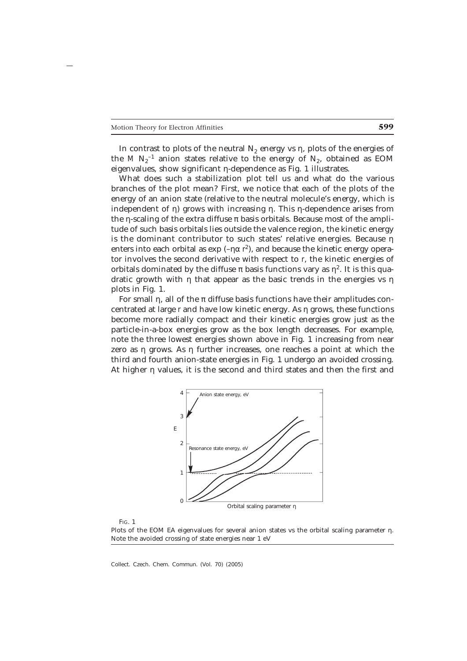In contrast to plots of the neutral  $N_2$  energy vs η, plots of the energies of the  $M N_2^{-1}$  anion states relative to the energy of  $N_2$ , obtained as EOM eigenvalues, show significant η-dependence as Fig. 1 illustrates.

What does such a stabilization plot tell us and what do the various branches of the plot mean? First, we notice that each of the plots of the energy of an anion state (relative to the neutral molecule's energy, which is independent of η) grows with increasing η. This η-dependence arises from the η-scaling of the extra diffuse  $\pi$  basis orbitals. Because most of the amplitude of such basis orbitals lies outside the valence region, the kinetic energy is the dominant contributor to such states' relative energies. Because η enters into each orbital as  $\exp(-\eta \alpha r^2)$ , and because the kinetic energy operator involves the second derivative with respect to *r*, the kinetic energies of orbitals dominated by the diffuse  $\pi$  basis functions vary as  $\eta^2$ . It is this quadratic growth with η that appear as the basic trends in the energies vs η plots in Fig. 1.

For small n, all of the  $\pi$  diffuse basis functions have their amplitudes concentrated at large *r* and have low kinetic energy. As η grows, these functions become more radially compact and their kinetic energies grow just as the particle-in-a-box energies grow as the box length decreases. For example, note the three lowest energies shown above in Fig. 1 increasing from near zero as η grows. As η further increases, one reaches a point at which the third and fourth anion-state energies in Fig. 1 undergo an avoided crossing. At higher η values, it is the second and third states and then the first and





Plots of the EOM EA eigenvalues for several anion states vs the orbital scaling parameter η. Note the avoided crossing of state energies near 1 eV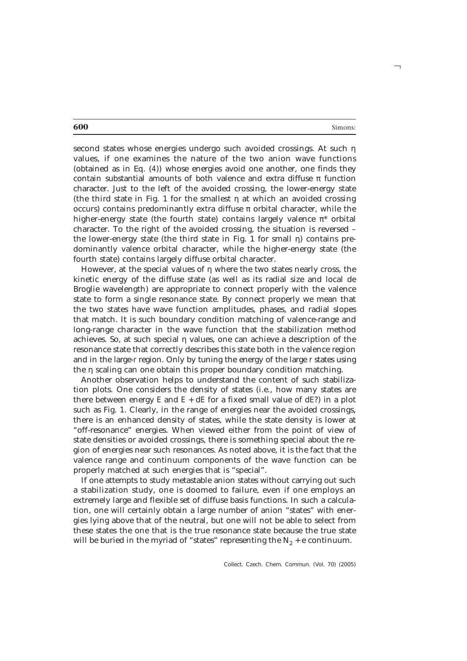second states whose energies undergo such avoided crossings. At such η values, if one examines the nature of the two anion wave functions (obtained as in Eq. (*4*)) whose energies avoid one another, one finds they contain substantial amounts of both valence and extra diffuse π function character. Just to the left of the avoided crossing, the lower-energy state (the third state in Fig. 1 for the smallest η at which an avoided crossing occurs) contains predominantly extra diffuse  $\pi$  orbital character, while the higher-energy state (the fourth state) contains largely valence  $\pi^*$  orbital character. To the right of the avoided crossing, the situation is reversed – the lower-energy state (the third state in Fig. 1 for small η) contains predominantly valence orbital character, while the higher-energy state (the fourth state) contains largely diffuse orbital character.

However, at the special values of η where the two states nearly cross, the kinetic energy of the diffuse state (as well as its radial size and local de Broglie wavelength) are appropriate to connect properly with the valence state to form a single resonance state. By connect properly we mean that the two states have wave function amplitudes, phases, and radial slopes that match. It is such boundary condition matching of valence-range and long-range character in the wave function that the stabilization method achieves. So, at such special η values, one can achieve a description of the resonance state that correctly describes this state both in the valence region and in the large-*r* region. Only by tuning the energy of the large *r* states using the η scaling can one obtain this proper boundary condition matching.

Another observation helps to understand the content of such stabilization plots. One considers the density of states (i.e., how many states are there between energy  $E$  and  $E + dE$  for a fixed small value of  $dE$ ?) in a plot such as Fig. 1. Clearly, in the range of energies near the avoided crossings, there is an enhanced density of states, while the state density is lower at "off-resonance" energies. When viewed either from the point of view of state densities or avoided crossings, there is something special about the region of energies near such resonances. As noted above, it is the fact that the valence range and continuum components of the wave function can be properly matched at such energies that is "special".

If one attempts to study metastable anion states without carrying out such a stabilization study, one is doomed to failure, even if one employs an extremely large and flexible set of diffuse basis functions. In such a calculation, one will certainly obtain a large number of anion "states" with energies lying above that of the neutral, but one will not be able to select from these states the one that is the true resonance state because the true state will be buried in the myriad of "states" representing the  $N_2$  + e continuum.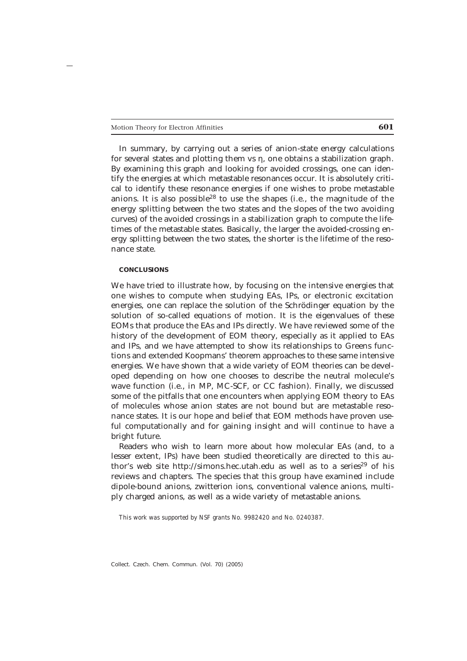In summary, by carrying out a series of anion-state energy calculations for several states and plotting them vs η, one obtains a stabilization graph. By examining this graph and looking for avoided crossings, one can identify the energies at which metastable resonances occur. It is absolutely critical to identify these resonance energies if one wishes to probe metastable anions. It is also possible<sup>28</sup> to use the shapes (i.e., the magnitude of the energy splitting between the two states and the slopes of the two avoiding curves) of the avoided crossings in a stabilization graph to compute the lifetimes of the metastable states. Basically, the larger the avoided-crossing energy splitting between the two states, the shorter is the lifetime of the resonance state.

#### **CONCLUSIONS**

We have tried to illustrate how, by focusing on the intensive energies that one wishes to compute when studying EAs, IPs, or electronic excitation energies, one can replace the solution of the Schrödinger equation by the solution of so-called equations of motion. It is the eigenvalues of these EOMs that produce the EAs and IPs directly. We have reviewed some of the history of the development of EOM theory, especially as it applied to EAs and IPs, and we have attempted to show its relationships to Greens functions and extended Koopmans' theorem approaches to these same intensive energies. We have shown that a wide variety of EOM theories can be developed depending on how one chooses to describe the neutral molecule's wave function (i.e., in MP, MC-SCF, or CC fashion). Finally, we discussed some of the pitfalls that one encounters when applying EOM theory to EAs of molecules whose anion states are not bound but are metastable resonance states. It is our hope and belief that EOM methods have proven useful computationally and for gaining insight and will continue to have a bright future.

Readers who wish to learn more about how molecular EAs (and, to a lesser extent, IPs) have been studied theoretically are directed to this author's web site http://simons.hec.utah.edu as well as to a series<sup>29</sup> of his reviews and chapters. The species that this group have examined include dipole-bound anions, zwitterion ions, conventional valence anions, multiply charged anions, as well as a wide variety of metastable anions.

*This work was supported by NSF grants No. 9982420 and No. 0240387.*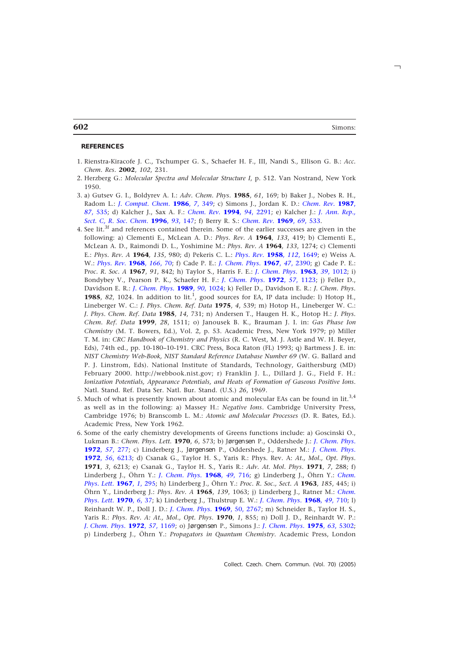#### **REFERENCES**

- 1. Rienstra-Kiracofe J. C., Tschumper G. S., Schaefer H. F., III, Nandi S., Ellison G. B.: *Acc. Chem. Res*. **2002**, *102*, 231.
- 2. Herzberg G.: *Molecular Spectra and Molecular Structure I*, p. 512. Van Nostrand, New York 1950.
- 3. a) Gutsev G. I., Boldyrev A. I.: *Adv. Chem. Phys*. **1985**, *61*, 169; b) Baker J., Nobes R. H., Radom L.: *J. [Comput.](http://dx.doi.org/10.1002/jcc.540070312) Chem*. **1986**, *7*, 349; c) Simons J., Jordan K. D.: *[Chem.](http://dx.doi.org/10.1021/cr00079a004) Rev.* **1987**, *87*, [535;](http://dx.doi.org/10.1021/cr00079a004) d) Kalcher J., Sax A. F.: *[Chem.](http://dx.doi.org/10.1021/cr00032a004) Rev.* **1994**, *94*, 2291; e) Kalcher J.: *J. Ann. [Rep.,](http://dx.doi.org/10.1039/pc9969300147) Sect. C, R. Soc. [Chem](http://dx.doi.org/10.1039/pc9969300147)*. **1996**, *93*, 147; f) Berry R. S.: *[Chem.](http://dx.doi.org/10.1021/cr60260a003) Rev*. **1969**, *69*, 533.
- 4. See lit.<sup>3f</sup> and references contained therein. Some of the earlier successes are given in the following: a) Clementi E., McLean A. D.: *Phys. Rev. A* **1964**, *133*, 419; b) Clementi E., McLean A. D., Raimondi D. L., Yoshimine M.: *Phys. Rev. A* **1964**, *133*, 1274; c) Clementi E.: *Phys. Rev. A* **1964**, *135*, 980; d) Pekeris C. L.: *Phys. Rev*. **[1958](http://dx.doi.org/10.1103/PhysRev.112.1649)**, *112*, 1649; e) Weiss A. W.: *Phys. Rev*. **[1968](http://dx.doi.org/10.1103/PhysRev.166.70)**, *166*, 70; f) Cade P. E.: *J. [Chem.](http://dx.doi.org/10.1063/1.1703322) Phys*. **1967**, *47*, 2390; g) Cade P. E.: P*roc. R. Soc. A* **1967**, *91*, 842; h) Taylor S., Harris F. E.: *J. [Chem.](http://dx.doi.org/10.1063/1.1734350) Phys*. **1963**, *39*, 1012; i) Bondybey V., Pearson P. K., Schaefer H. F.: *J. [Chem.](http://dx.doi.org/10.1063/1.1678368) Phys*. **1972**, *57*, 1123; j) Feller D., Davidson E. R.: *J. [Chem.](http://dx.doi.org/10.1063/1.456154) Phys.* **1989**, *90*, 1024; k) Feller D., Davidson E. R.: *J. Chem. Phys*. **1985**, 82, 1024. In addition to lit.<sup>1</sup>, good sources for EA, IP data include: 1) Hotop H., Lineberger W. C.: *J. Phys. Chem. Ref. Data* **1975**, *4*, 539; m) Hotop H., Lineberger W. C.: *J. Phys. Chem. Ref. Data* **1985**, *14*, 731; n) Andersen T., Haugen H. K., Hotop H.: *J. Phys. Chem. Ref. Data* **1999**, *28*, 1511; o) Janousek B. K., Brauman J. I. in: *Gas Phase Ion Chemistry* (M. T. Bowers, Ed.), Vol. 2, p. 53. Academic Press, New York 1979; p) Miller T. M. in: *CRC Handbook of Chemistry and Physics* (R. C. West, M. J. Astle and W. H. Beyer, Eds), 74th ed., pp. 10-180–10-191. CRC Press, Boca Raton (FL) 1993; q) Bartmess J. E. in: *NIST Chemistry Web-Book, NIST Standard Reference Database Number 69* (W. G. Ballard and P. J. Linstrom, Eds). National Institute of Standards, Technology, Gaithersburg (MD) February 2000. http://webbook.nist.gov; r) Franklin J. L., Dillard J. G., Field F. H.: *Ionization Potentials, Appearance Potentials, and Heats of Formation of Gaseous Positive Ions*. Natl. Stand. Ref. Data Ser. Natl. Bur. Stand. (U.S.) *26*, 1969.
- 5. Much of what is presently known about atomic and molecular EAs can be found in lit.<sup>3,4</sup> as well as in the following: a) Massey H.: *Negative Ions*. Cambridge University Press, Cambridge 1976; b) Branscomb L. M.: *Atomic and Molecular Processes* (D. R. Bates, Ed.). Academic Press, New York 1962.
- 6. Some of the early chemistry developments of Greens functions include: a) Goscinski O., Lukman B.: *Chem. Phys. Lett*. **1970**, *6*, 573; b) Jørgensen P., Oddershede J.: *J. [Chem.](http://dx.doi.org/10.1063/1.1677957) Phys*. **[1972](http://dx.doi.org/10.1063/1.1677957)**, *57*, 277; c) Linderberg J., Jørgensen P., Oddershede J., Ratner M.: *J. [Chem.](http://dx.doi.org/10.1063/1.1677174) Phys*. **1972**, *56*, [6213;](http://dx.doi.org/10.1063/1.1677174) d) Csanak G., Taylor H. S., Yaris R.: Phys. Rev. A: *At., Mol., Opt. Phys*. **1971**, *3*, 6213; e) Csanak G., Taylor H. S., Yaris R.: *Adv. At. Mol. Phys*. **1971**, *7*, 288; f) Linderberg J., Öhrn Y.: *J. [Chem.](http://dx.doi.org/10.1063/1.1670129) Phys.* **1968**, *49*, 716; g) Linderberg J., Öhrn Y.: *[Chem.](http://dx.doi.org/10.1016/0009-2614(67)80025-3) Phys. Lett*. **[1967](http://dx.doi.org/10.1016/0009-2614(67)80025-3)**, *1*, 295; h) Linderberg J., Öhrn Y.: *Proc. R. Soc., Sect. A* **1963**, *185*, 445; i) Öhrn Y., Linderberg J.: *Phys. Rev. A* **1965**, *139*, 1063; j) Linderberg J., Ratner M.: *[Chem.](http://dx.doi.org/10.1016/0009-2614(70)80069-0) Phys. Lett*. **[1970](http://dx.doi.org/10.1016/0009-2614(70)80069-0)**, *6*, 37; k) Linderberg J., Thulstrup E. W.: *J. [Chem.](http://dx.doi.org/10.1063/1.1670128) Phys*. **1968**, *49*, 710; l) Reinhardt W. P., Doll J. D.: *J. [Chem.](http://dx.doi.org/10.1063/1.1671446) Phys.* **1969**, 50, 2767; m) Schneider B., Taylor H. S., Yaris R.: *Phys. Rev. A: At., Mol., Opt. Phys*. **1970**, *1*, 855; n) Doll J. D., Reinhardt W. P.: *J. [Chem.](http://dx.doi.org/10.1063/1.1678374) Phys*. **1972**, *57*, 1169; o) Jørgensen P., Simons J.: *J. [Chem.](http://dx.doi.org/10.1063/1.431332) Phys*. **1975**, *63*, 5302; p) Linderberg J., Öhrn Y.: *Propagators in Quantum Chemistry*. Academic Press, London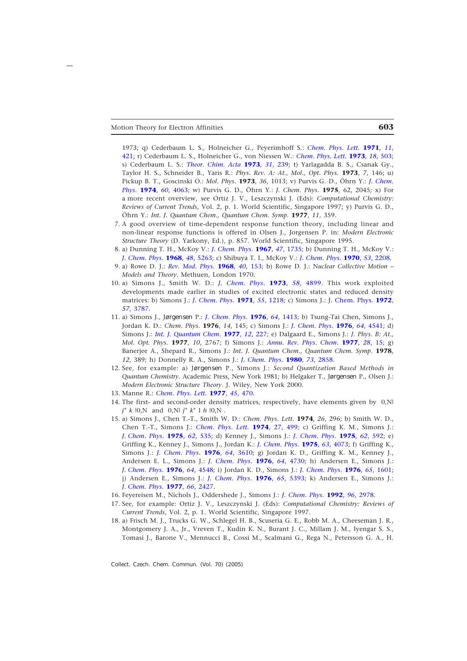1973; q) Cederbaum L. S., Holneicher G., Peyerimhoff S.: *[Chem.](http://dx.doi.org/10.1016/0009-2614(71)80375-5) Phys. Lett*. **1971**, *11*, [421;](http://dx.doi.org/10.1016/0009-2614(71)80375-5) r) Cederbaum L. S., Holneicher G., von Niessen W.: *[Chem.](http://dx.doi.org/10.1016/0009-2614(73)80451-8) Phys. Lett*. **1973**, *18*, 503; s) Cederbaum L. S.: *[Theor.](http://dx.doi.org/10.1007/BF00526514) Chim. Acta* **1973**, *31*, 239; t) Yarlagadda B. S., Csanak Gy., Taylor H. S., Schneider B., Yaris R.: *Phys. Rev. A: At., Mol., Opt. Phys*. **1973**, *7*, 146; u) Pickup B. T., Goscinski O.: *Mol. Phys*. **1973**, *36*, 1013; v) Purvis G. D., Öhrn Y.: *J. [Chem.](http://dx.doi.org/10.1063/1.1680858) Phys*. **[1974](http://dx.doi.org/10.1063/1.1680858)**, *60*, 4063; w) Purvis G. D., Öhrn Y.: *J. Chem. Phys*. **1975**, 62, 2045; x) For a more recent overview, see Ortiz J. V., Leszczynski J. (Eds): *Computational Chemistry: Reviews of Current Trends*, Vol. 2, p. 1. World Scientific, Singapore 1997; y) Purvis G. D., Öhrn Y.: *Int. J. Quantum Chem., Quantum Chem. Symp*. **1977**, *11*, 359.

- 7. A good overview of time-dependent response function theory, including linear and non-linear response functions is offered in Olsen J., Jorgensen P. in: *Modern Electronic Structure Theory* (D. Yarkony, Ed.), p. 857. World Scientific, Singapore 1995.
- 8. a) Dunning T. H., McKoy V.: *J. [Chem.](http://dx.doi.org/10.1063/1.1712158) Phys*. **1967**, *47*, 1735; b) Dunning T. H., McKoy V.: *J. [Chem.](http://dx.doi.org/10.1063/1.1668203) Phys*. **1968**, *48*, 5263; c) Shibuya T. I., McKoy V.: *J. [Chem.](http://dx.doi.org/10.1063/1.1674482) Phys*. **1970**, *53*, 2208.
- 9. a) Rowe D. J.: *Rev. Mod. Phys*. **[1968](http://dx.doi.org/10.1103/RevModPhys.40.153)**, *40*, 153; b) Rowe D. J.: N*uclear Collective Motion – Models and Theory*. Methuen, London 1970.
- 10. a) Simons J., Smith W. D.: *J. [Chem.](http://dx.doi.org/10.1063/1.1679074) Phys.* **1973**, *58*, 4899. This work exploited developments made earlier in studies of excited electronic states and reduced density matrices: b) Simons J.: *J. [Chem.](http://dx.doi.org/10.1063/1.1676208) Phys.* **1971**, *55*, 1218; c) Simons J.: J. [Chem.](http://dx.doi.org/10.1063/1.1678845) Phys. **1972**, *57*, [3787.](http://dx.doi.org/10.1063/1.1678845)
- 11. a) Simons J., Jørgensen P.: *J. [Chem.](http://dx.doi.org/10.1063/1.432410) Phys*. **1976**, *64*, 1413; b) Tsung-Tai Chen, Simons J., Jordan K. D.: *Chem. Phys*. **1976**, *14*, 145; c) Simons J.: *J. [Chem.](http://dx.doi.org/10.1063/1.432084) Phys*. **1976**, *64*, 4541; d) Simons J.: *Int. J. [Quantum](http://dx.doi.org/10.1002/qua.560120119) Chem*. **1977**, *12*, 227; e) Dalgaard E., Simons J.: *J. Phys. B: At., Mol. Opt. Phys.* **1977**, *10*, 2767; f) Simons J.: *[Annu.](http://dx.doi.org/10.1146/annurev.pc.28.100177.000311) Rev. Phys. Chem*. **1977**, *28*, 15; g) Banerjee A., Shepard R., Simons J.: *Int. J. Quantum Chem., Quantum Chem. Symp*. **1978**, *12*, 389; h) Donnelly R. A., Simons J.: *J. [Chem.](http://dx.doi.org/10.1063/1.440455) Phys*. **1980**, *73*, 2858.
- 12. See, for example: a) Jørgensen P., Simons J.: *Second Quantization Based Methods in Quantum Chemistry*. Academic Press, New York 1981; b) Helgaker T., Jørgensen P., Olsen J.: *Modern Electronic Structure Theory*. J. Wiley, New York 2000.
- 13. Manne R.: *[Chem.](http://dx.doi.org/10.1016/0009-2614(77)80066-3) Phys. Lett*. **1977**, *45*, 470.
- 14. The first- and second-order density matrices, respectively, have elements given by 〈0,N|  $j^+$  *k* | 0, N $\rangle$  and  $\langle 0, N | j^+$  *k*<sup>+</sup> 1 *h* | 0, N $\rangle$ .
- 15. a) Simons J., Chen T.-T., Smith W. D.: *Chem. Phys. Lett*. **1974**, *26*, 296; b) Smith W. D., Chen T.-T., Simons J.: *[Chem.](http://dx.doi.org/10.1016/0009-2614(74)80290-3) Phys. Lett*. **1974**, 27, 499; c) Griffing K. M., Simons J.: *J. [Chem.](http://dx.doi.org/10.1063/1.430507) Phys.* **1975**, *62*, 535; d) Kenney J., Simons J.: *J. [Chem.](http://dx.doi.org/10.1063/1.430458) Phys*. **1975**, *62*, 592; e) Griffing K., Kenney J., Simons J., Jordan K.: *J. [Chem.](http://dx.doi.org/10.1063/1.431850) Phys*. **1975**, *63*, 4073; f) Griffing K., Simons J.: *J. [Chem.](http://dx.doi.org/10.1063/1.432712) Phys*. **1976**, *64*, 3610; g) Jordan K. D., Griffing K. M., Kenney J., Andersen E. L., Simons J.: *J. [Chem.](http://dx.doi.org/10.1063/1.432059) Phys*. **1976**, *64*, 4730; h) Andersen E., Simons J.: *J. [Chem.](http://dx.doi.org/10.1063/1.432086) Phys*. **1976**, *64*, 4548; i) Jordan K. D., Simons J.: *J. [Chem.](http://dx.doi.org/10.1063/1.433223) Phys*. **1976**, *65*, 1601; j) Andersen E., Simons J.: *J. [Chem.](http://dx.doi.org/10.1063/1.433042) Phys*. **1976**, *65*, 5393; k) Andersen E., Simons J.: *J. [Chem.](http://dx.doi.org/10.1063/1.434280) Phys*. **1977**, *66*, 2427.
- 16. Feyereisen M., Nichols J., Oddershede J., Simons J.: *J. [Chem.](http://dx.doi.org/10.1063/1.461995) Phys*. **1992**, *96*, 2978.
- 17. See, for example: Ortiz J. V., Leszczynski J. (Eds): *Computational Chemistry: Reviews of Current Trends*, Vol. 2, p. 1. World Scientific, Singapore 1997.
- 18. a) Frisch M. J., Trucks G. W., Schlegel H. B., Scuseria G. E., Robb M. A., Cheeseman J. R., Montgomery J. A., Jr., Vreven T., Kudin K. N., Burant J. C., Millam J. M., Iyengar S. S., Tomasi J., Barone V., Mennucci B., Cossi M., Scalmani G., Rega N., Petersson G. A., H.